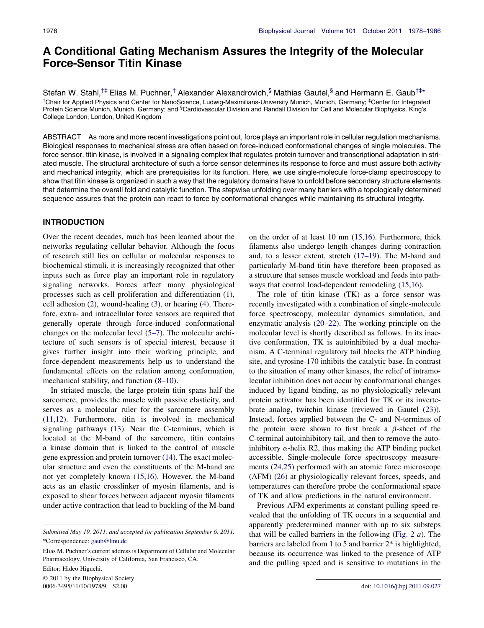# A Conditional Gating Mechanism Assures the Integrity of the Molecular Force-Sensor Titin Kinase

Stefan W. Stahl,<sup>†‡</sup> Elias M. Puchner,<sup>†</sup> Alexander Alexandrovich,§ Mathias Gautel,§ and Hermann E. Gaub<sup>†‡\*</sup> † Chair for Applied Physics and Center for NanoScience, Ludwig-Maximilians-University Munich, Munich, Germany; ‡ Center for Integrated Protein Science Munich, Munich, Germany; and <sup>§</sup>Cardiovascular Division and Randall Division for Cell and Molecular Biophysics. King's College London, London, United Kingdom

ABSTRACT As more and more recent investigations point out, force plays an important role in cellular regulation mechanisms. Biological responses to mechanical stress are often based on force-induced conformational changes of single molecules. The force sensor, titin kinase, is involved in a signaling complex that regulates protein turnover and transcriptional adaptation in striated muscle. The structural architecture of such a force sensor determines its response to force and must assure both activity and mechanical integrity, which are prerequisites for its function. Here, we use single-molecule force-clamp spectroscopy to show that titin kinase is organized in such a way that the regulatory domains have to unfold before secondary structure elements that determine the overall fold and catalytic function. The stepwise unfolding over many barriers with a topologically determined sequence assures that the protein can react to force by conformational changes while maintaining its structural integrity.

# INTRODUCTION

Over the recent decades, much has been learned about the networks regulating cellular behavior. Although the focus of research still lies on cellular or molecular responses to biochemical stimuli, it is increasingly recognized that other inputs such as force play an important role in regulatory signaling networks. Forces affect many physiological processes such as cell proliferation and differentiation ([1\)](#page-7-0), cell adhesion [\(2](#page-7-0)), wound-healing ([3\)](#page-7-0), or hearing [\(4](#page-8-0)). Therefore, extra- and intracellular force sensors are required that generally operate through force-induced conformational changes on the molecular level [\(5–7](#page-8-0)). The molecular architecture of such sensors is of special interest, because it gives further insight into their working principle, and force-dependent measurements help us to understand the fundamental effects on the relation among conformation, mechanical stability, and function [\(8–10](#page-8-0)).

In striated muscle, the large protein titin spans half the sarcomere, provides the muscle with passive elasticity, and serves as a molecular ruler for the sarcomere assembly ([11,12](#page-8-0)). Furthermore, titin is involved in mechanical signaling pathways [\(13](#page-8-0)). Near the C-terminus, which is located at the M-band of the sarcomere, titin contains a kinase domain that is linked to the control of muscle gene expression and protein turnover ([14\)](#page-8-0). The exact molecular structure and even the constituents of the M-band are not yet completely known ([15,16](#page-8-0)). However, the M-band acts as an elastic crosslinker of myosin filaments, and is exposed to shear forces between adjacent myosin filaments under active contraction that lead to buckling of the M-band

Editor: Hideo Higuchi.

 $© 2011$  by the Biophysical Society 0006-3495/11/10/1978/9 \$2.00 doi: [10.1016/j.bpj.2011.09.027](http://dx.doi.org/10.1016/j.bpj.2011.09.027)

on the order of at least 10 nm ([15,16](#page-8-0)). Furthermore, thick filaments also undergo length changes during contraction and, to a lesser extent, stretch ([17–19\)](#page-8-0). The M-band and particularly M-band titin have therefore been proposed as a structure that senses muscle workload and feeds into pathways that control load-dependent remodeling [\(15,16\)](#page-8-0).

The role of titin kinase (TK) as a force sensor was recently investigated with a combination of single-molecule force spectroscopy, molecular dynamics simulation, and enzymatic analysis [\(20–22](#page-8-0)). The working principle on the molecular level is shortly described as follows. In its inactive conformation, TK is autoinhibited by a dual mechanism. A C-terminal regulatory tail blocks the ATP binding site, and tyrosine-170 inhibits the catalytic base. In contrast to the situation of many other kinases, the relief of intramolecular inhibition does not occur by conformational changes induced by ligand binding, as no physiologically relevant protein activator has been identified for TK or its invertebrate analog, twitchin kinase (reviewed in Gautel [\(23](#page-8-0))). Instead, forces applied between the C- and N-terminus of the protein were shown to first break a  $\beta$ -sheet of the C-terminal autoinhibitory tail, and then to remove the autoinhibitory  $\alpha$ -helix R2, thus making the ATP binding pocket accessible. Single-molecule force spectroscopy measurements ([24,25](#page-8-0)) performed with an atomic force microscope (AFM) [\(26](#page-8-0)) at physiologically relevant forces, speeds, and temperatures can therefore probe the conformational space of TK and allow predictions in the natural environment.

Previous AFM experiments at constant pulling speed revealed that the unfolding of TK occurs in a sequential and apparently predetermined manner with up to six substeps that will be called barriers in the following ([Fig. 2](#page-3-0)  $a$ ). The barriers are labeled from 1 to 5 and barrier 2\* is highlighted, because its occurrence was linked to the presence of ATP and the pulling speed and is sensitive to mutations in the

Submitted May 19, 2011, and accepted for publication September 6, 2011. \*Correspondence: [gaub@lmu.de](mailto:gaub@lmu.de)

Elias M. Puchner's current address is Department of Cellular and Molecular Pharmacology, University of California, San Francisco, CA.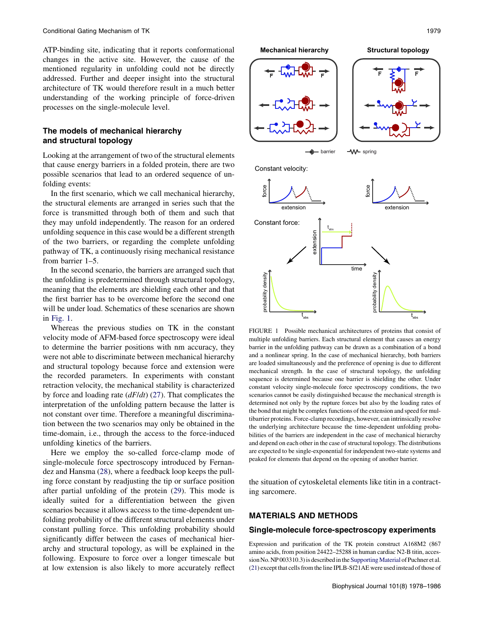<span id="page-1-0"></span>ATP-binding site, indicating that it reports conformational changes in the active site. However, the cause of the mentioned regularity in unfolding could not be directly addressed. Further and deeper insight into the structural architecture of TK would therefore result in a much better understanding of the working principle of force-driven processes on the single-molecule level.

## The models of mechanical hierarchy and structural topology

Looking at the arrangement of two of the structural elements that cause energy barriers in a folded protein, there are two possible scenarios that lead to an ordered sequence of unfolding events:

In the first scenario, which we call mechanical hierarchy, the structural elements are arranged in series such that the force is transmitted through both of them and such that they may unfold independently. The reason for an ordered unfolding sequence in this case would be a different strength of the two barriers, or regarding the complete unfolding pathway of TK, a continuously rising mechanical resistance from barrier 1–5.

In the second scenario, the barriers are arranged such that the unfolding is predetermined through structural topology, meaning that the elements are shielding each other and that the first barrier has to be overcome before the second one will be under load. Schematics of these scenarios are shown in Fig. 1.

Whereas the previous studies on TK in the constant velocity mode of AFM-based force spectroscopy were ideal to determine the barrier positions with nm accuracy, they were not able to discriminate between mechanical hierarchy and structural topology because force and extension were the recorded parameters. In experiments with constant retraction velocity, the mechanical stability is characterized by force and loading rate  $(dF/dt)$  [\(27](#page-8-0)). That complicates the interpretation of the unfolding pattern because the latter is not constant over time. Therefore a meaningful discrimination between the two scenarios may only be obtained in the time-domain, i.e., through the access to the force-induced unfolding kinetics of the barriers.

Here we employ the so-called force-clamp mode of single-molecule force spectroscopy introduced by Fernandez and Hansma [\(28](#page-8-0)), where a feedback loop keeps the pulling force constant by readjusting the tip or surface position after partial unfolding of the protein [\(29](#page-8-0)). This mode is ideally suited for a differentiation between the given scenarios because it allows access to the time-dependent unfolding probability of the different structural elements under constant pulling force. This unfolding probability should significantly differ between the cases of mechanical hierarchy and structural topology, as will be explained in the following. Exposure to force over a longer timescale but at low extension is also likely to more accurately reflect



FIGURE 1 Possible mechanical architectures of proteins that consist of multiple unfolding barriers. Each structural element that causes an energy barrier in the unfolding pathway can be drawn as a combination of a bond and a nonlinear spring. In the case of mechanical hierarchy, both barriers are loaded simultaneously and the preference of opening is due to different mechanical strength. In the case of structural topology, the unfolding sequence is determined because one barrier is shielding the other. Under constant velocity single-molecule force spectroscopy conditions, the two scenarios cannot be easily distinguished because the mechanical strength is determined not only by the rupture forces but also by the loading rates of the bond that might be complex functions of the extension and speed for multibarrier proteins. Force-clamp recordings, however, can intrinsically resolve the underlying architecture because the time-dependent unfolding probabilities of the barriers are independent in the case of mechanical hierarchy and depend on each other in the case of structural topology. The distributions are expected to be single-exponential for independent two-state systems and peaked for elements that depend on the opening of another barrier.

the situation of cytoskeletal elements like titin in a contracting sarcomere.

## MATERIALS AND METHODS

#### Single-molecule force-spectroscopy experiments

Expression and purification of the TK protein construct A168M2 (867 amino acids, from position 24422–25288 in human cardiac N2-B titin, accession No. NP 003310.3) is described in the Supporting Material of Puchner et al. [\(21\)](#page-8-0) except that cells from the line IPLB-Sf21AE were used instead of those of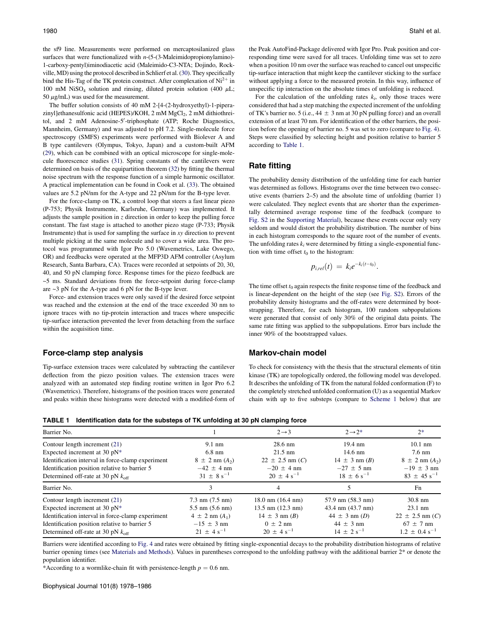<span id="page-2-0"></span>the sf9 line. Measurements were performed on mercaptosilanized glass surfaces that were functionalized with  $n-(5-(3-Maleimidopropionylamino)$ -1-carboxy-pentyl)iminodiacetic acid (Maleimido-C3-NTA; Dojindo, Rockville, MD) using the protocol described in Schlierf et al. [\(30\)](#page-8-0). They specifically bind the His-Tag of the TK protein construct. After complexation of  $Ni<sup>2+</sup>$  in 100 mM NiSO<sub>4</sub> solution and rinsing, diluted protein solution (400  $\mu$ L; 50  $\mu$ g/mL) was used for the measurement.

The buffer solution consists of 40 mM 2-[4-(2-hydroxyethyl)-1-piperazinyl]ethanesulfonic acid (HEPES)/KOH, 2 mM MgCl<sub>2</sub>, 2 mM dithiothreitol, and 2 mM Adenosine-5'-triphosphate (ATP; Roche Diagnostics, Mannheim, Germany) and was adjusted to pH 7.2. Single-molecule force spectroscopy (SMFS) experiments were performed with Biolever A and B type cantilevers (Olympus, Tokyo, Japan) and a custom-built AFM [\(29](#page-8-0)), which can be combined with an optical microscope for single-molecule fluorescence studies ([31\)](#page-8-0). Spring constants of the cantilevers were determined on basis of the equipartition theorem ([32\)](#page-8-0) by fitting the thermal noise spectrum with the response function of a simple harmonic oscillator. A practical implementation can be found in Cook et al. ([33\)](#page-8-0). The obtained values are 5.2 pN/nm for the A-type and 22 pN/nm for the B-type lever.

For the force-clamp on TK, a control loop that steers a fast linear piezo (P-753; Physik Instrumente, Karlsruhe, Germany) was implemented. It adjusts the sample position in  $z$  direction in order to keep the pulling force constant. The fast stage is attached to another piezo stage (P-733; Physik Instrumente) that is used for sampling the surface in xy direction to prevent multiple picking at the same molecule and to cover a wide area. The protocol was programmed with Igor Pro 5.0 (Wavemetrics, Lake Oswego, OR) and feedbacks were operated at the MFP3D AFM controller (Asylum Research, Santa Barbara, CA). Traces were recorded at setpoints of 20, 30, 40, and 50 pN clamping force. Response times for the piezo feedback are ~5 ms. Standard deviations from the force-setpoint during force-clamp are  $\sim$ 3 pN for the A-type and 6 pN for the B-type lever.

Force- and extension traces were only saved if the desired force setpoint was reached and the extension at the end of the trace exceeded 30 nm to ignore traces with no tip-protein interaction and traces where unspecific tip-surface interaction prevented the lever from detaching from the surface within the acquisition time.

#### Force-clamp step analysis

Tip-surface extension traces were calculated by subtracting the cantilever deflection from the piezo position values. The extension traces were analyzed with an automated step finding routine written in Igor Pro 6.2 (Wavemetrics). Therefore, histograms of the position traces were generated and peaks within these histograms were detected with a modified-form of the Peak AutoFind-Package delivered with Igor Pro. Peak position and corresponding time were saved for all traces. Unfolding time was set to zero when a position 10 nm over the surface was reached to cancel out unspecific tip-surface interaction that might keep the cantilever sticking to the surface without applying a force to the measured protein. In this way, influence of unspecific tip interaction on the absolute times of unfolding is reduced.

For the calculation of the unfolding rates  $k_i$ , only those traces were considered that had a step matching the expected increment of the unfolding of TK's barrier no. 5 (i.e.,  $44 \pm 3$  nm at 30 pN pulling force) and an overall extension of at least 70 nm. For identification of the other barriers, the position before the opening of barrier no. 5 was set to zero (compare to [Fig. 4\)](#page-6-0). Steps were classified by selecting height and position relative to barrier 5 according to Table 1.

### Rate fitting

The probability density distribution of the unfolding time for each barrier was determined as follows. Histograms over the time between two consecutive events (barriers 2–5) and the absolute time of unfolding (barrier 1) were calculated. They neglect events that are shorter than the experimentally determined average response time of the feedback (compare to [Fig. S2](#page-7-0) in the [Supporting Material](#page-7-0)), because these events occur only very seldom and would distort the probability distribution. The number of bins in each histogram corresponds to the square root of the number of events. The unfolding rates  $k_i$  were determined by fitting a single-exponential function with time offset  $t_0$  to the histogram:

$$
p_{i,rel}(t) = k_i e^{-k_i(t-t_0)}.
$$

The time offset  $t_0$  again respects the finite response time of the feedback and is linear-dependent on the height of the step (see [Fig. S2\)](#page-7-0). Errors of the probability density histograms and the off-rates were determined by bootstrapping. Therefore, for each histogram, 100 random subpopulations were generated that consist of only 30% of the original data points. The same rate fitting was applied to the subpopulations. Error bars include the inner 90% of the bootstrapped values.

#### Markov-chain model

To check for consistency with the thesis that the structural elements of titin kinase (TK) are topologically ordered, the following model was developed. It describes the unfolding of TK from the natural folded conformation (F) to the completely stretched unfolded conformation (U) as a sequential Markov chain with up to five substeps (compare to [Scheme 1](#page-3-0) below) that are

TABLE 1 Identification data for the substeps of TK unfolding at 30 pN clamping force

| Barrier No.                                       |                                     | $2 \rightarrow 3$           | $2 \rightarrow 2^*$                   | $2*$                        |
|---------------------------------------------------|-------------------------------------|-----------------------------|---------------------------------------|-----------------------------|
| Contour length increment (21)                     | $9.1 \text{ nm}$                    | $28.6$ nm                   | $19.4 \text{ nm}$                     | $10.1 \text{ nm}$           |
| Expected increment at 30 $pN^*$                   | $6.8 \text{ nm}$                    | $21.5 \text{ nm}$           | $14.6$ nm                             | $7.6 \text{ nm}$            |
| Identification interval in force-clamp experiment | $8 \pm 2$ nm $(A_2)$                | $22 \pm 2.5$ nm (C)         | $14 \pm 3$ nm $(B)$                   | $8 \pm 2$ nm $(A_2)$        |
| Identification position relative to barrier 5     | $-42 \pm 4$ nm                      | $-20 + 4$ nm                | $-27 + 5$ nm                          | $-19 \pm 3$ nm              |
| Determined off-rate at 30 pN $k_{\text{off}}$     | $31 \pm 8 \text{ s}^{-1}$           | $20 \pm 4 \text{ s}^{-1}$   | $18 + 6 s^{-1}$                       | $83 \pm 45$ s <sup>-1</sup> |
| Barrier No.                                       |                                     | 4                           |                                       | Fn                          |
| Contour length increment (21)                     | $7.3 \text{ nm}$ $(7.5 \text{ nm})$ | $18.0 \text{ nm}$ (16.4 nm) | $57.9$ nm $(58.3$ nm)                 | $30.8 \text{ nm}$           |
| Expected increment at 30 $pN^*$                   | $5.5 \text{ nm}$ $(5.6 \text{ nm})$ | $13.5 \text{ nm}$ (12.3 nm) | $43.4 \text{ nm}$ $(43.7 \text{ nm})$ | $23.1 \text{ nm}$           |
| Identification interval in force-clamp experiment | $4 \pm 2$ nm $(A_1)$                | $14 \pm 3$ nm $(B)$         | $44 \pm 3$ nm (D)                     | $22 \pm 2.5$ nm (C)         |
| Identification position relative to barrier 5     | $-15 \pm 3$ nm                      | $0 + 2$ nm                  | $44 + 3$ nm                           | $67 + 7$ nm                 |
| Determined off-rate at 30 pN $k_{\text{off}}$     | $21 + 4 s^{-1}$                     | $20 + 4 s^{-1}$             | $14 + 2 s^{-1}$                       | $1.2 + 0.4 s^{-1}$          |

Barriers were identified according to [Fig. 4](#page-6-0) and rates were obtained by fitting single-exponential decays to the probability distribution histograms of relative barrier opening times (see [Materials and Methods](#page-1-0)). Values in parentheses correspond to the unfolding pathway with the additional barrier 2\* or denote the population identifier.

\*According to a wormlike-chain fit with persistence-length  $p = 0.6$  nm.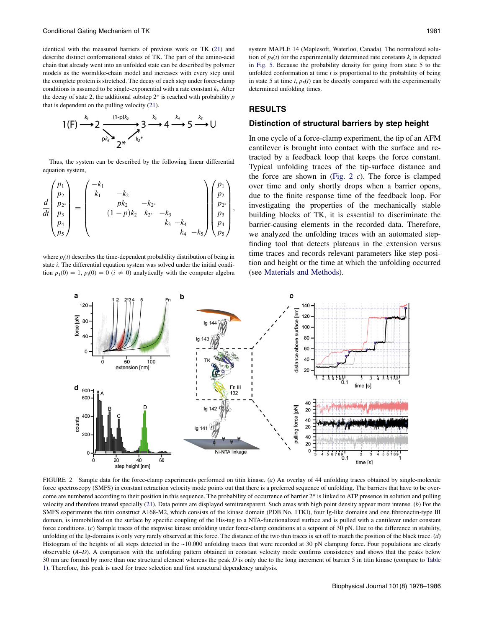<span id="page-3-0"></span>identical with the measured barriers of previous work on TK ([21\)](#page-8-0) and describe distinct conformational states of TK. The part of the amino-acid chain that already went into an unfolded state can be described by polymer models as the wormlike-chain model and increases with every step until the complete protein is stretched. The decay of each step under force-clamp conditions is assumed to be single-exponential with a rate constant  $k_i$ . After the decay of state 2, the additional substep  $2^*$  is reached with probability  $p$ that is dependent on the pulling velocity [\(21](#page-8-0)).

$$
1(F) \xrightarrow{k_1} 2 \xrightarrow{1-p/k_2} 3 \xrightarrow{k_3} 4 \xrightarrow{k_4} 5 \xrightarrow{k_5} U
$$

Thus, the system can be described by the following linear differential equation system,

$$
\frac{d}{dt}\begin{pmatrix}p_1\\p_2\\p_2\\p_3\\p_4\\p_5\end{pmatrix}=\begin{pmatrix}-k_1\\k_1&-k_2\\pk_2&-k_2\\(1-p)k_2&k_2\\(1-p)k_2&k_3\\k_3&-k_4\\k_4&-k_5\end{pmatrix}\begin{pmatrix}p_1\\p_2\\p_2\\p_3\\p_4\\p_5\end{pmatrix}
$$

where  $p_i(t)$  describes the time-dependent probability distribution of being in state i. The differential equation system was solved under the initial condition  $p_1(0) = 1$ ,  $p_i(0) = 0$  ( $i \neq 0$ ) analytically with the computer algebra system MAPLE 14 (Maplesoft, Waterloo, Canada). The normalized solution of  $p_5(t)$  for the experimentally determined rate constants  $k_i$  is depicted in [Fig. 5.](#page-7-0) Because the probability density for going from state 5 to the unfolded conformation at time  $t$  is proportional to the probability of being in state 5 at time  $t$ ,  $p_5(t)$  can be directly compared with the experimentally determined unfolding times.

## RESULTS

#### Distinction of structural barriers by step height

In one cycle of a force-clamp experiment, the tip of an AFM cantilever is brought into contact with the surface and retracted by a feedback loop that keeps the force constant. Typical unfolding traces of the tip-surface distance and the force are shown in (Fig. 2  $c$ ). The force is clamped over time and only shortly drops when a barrier opens, due to the finite response time of the feedback loop. For investigating the properties of the mechanically stable building blocks of TK, it is essential to discriminate the barrier-causing elements in the recorded data. Therefore, we analyzed the unfolding traces with an automated stepfinding tool that detects plateaus in the extension versus time traces and records relevant parameters like step position and height or the time at which the unfolding occurred (see [Materials and Methods\)](#page-1-0).



;

FIGURE 2 Sample data for the force-clamp experiments performed on titin kinase. (a) An overlay of 44 unfolding traces obtained by single-molecule force spectroscopy (SMFS) in constant retraction velocity mode points out that there is a preferred sequence of unfolding. The barriers that have to be overcome are numbered according to their position in this sequence. The probability of occurrence of barrier 2\* is linked to ATP presence in solution and pulling velocity and therefore treated specially [\(21](#page-8-0)). Data points are displayed semitransparent. Such areas with high point density appear more intense. (b) For the SMFS experiments the titin construct A168-M2, which consists of the kinase domain (PDB No. 1TKI), four Ig-like domains and one fibronectin-type III domain, is immobilized on the surface by specific coupling of the His-tag to a NTA-functionalized surface and is pulled with a cantilever under constant force conditions. (c) Sample traces of the stepwise kinase unfolding under force-clamp conditions at a setpoint of 30 pN. Due to the difference in stability, unfolding of the Ig-domains is only very rarely observed at this force. The distance of the two thin traces is set off to match the position of the black trace. (d) Histogram of the heights of all steps detected in the ~10.000 unfolding traces that were recorded at 30 pN clamping force. Four populations are clearly observable (A–D). A comparison with the unfolding pattern obtained in constant velocity mode confirms consistency and shows that the peaks below 30 nm are formed by more than one structural element whereas the peak D is only due to the long increment of barrier 5 in titin kinase (compare to [Table](#page-2-0) [1](#page-2-0)). Therefore, this peak is used for trace selection and first structural dependency analysis.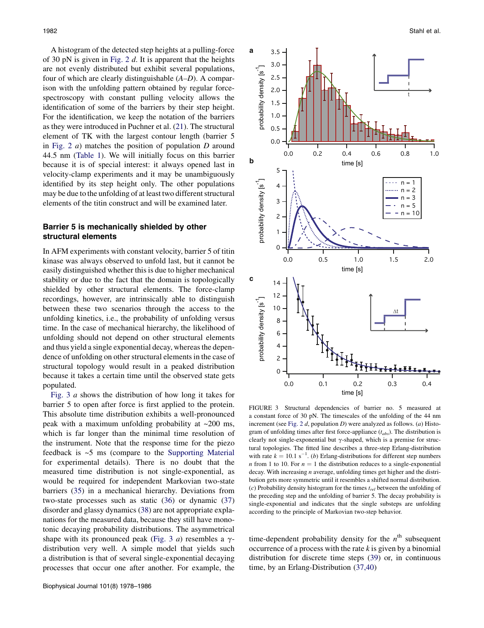<span id="page-4-0"></span>A histogram of the detected step heights at a pulling-force of 30 pN is given in [Fig. 2](#page-3-0)  $d$ . It is apparent that the heights are not evenly distributed but exhibit several populations, four of which are clearly distinguishable  $(A-D)$ . A comparison with the unfolding pattern obtained by regular forcespectroscopy with constant pulling velocity allows the identification of some of the barriers by their step height. For the identification, we keep the notation of the barriers as they were introduced in Puchner et al. [\(21](#page-8-0)). The structural element of TK with the largest contour length (barrier 5 in [Fig. 2](#page-3-0)  $a$ ) matches the position of population D around 44.5 nm [\(Table 1](#page-2-0)). We will initially focus on this barrier because it is of special interest: it always opened last in velocity-clamp experiments and it may be unambiguously identified by its step height only. The other populations may be due to the unfolding of at least two different structural elements of the titin construct and will be examined later.

## Barrier 5 is mechanically shielded by other structural elements

In AFM experiments with constant velocity, barrier 5 of titin kinase was always observed to unfold last, but it cannot be easily distinguished whether this is due to higher mechanical stability or due to the fact that the domain is topologically shielded by other structural elements. The force-clamp recordings, however, are intrinsically able to distinguish between these two scenarios through the access to the unfolding kinetics, i.e., the probability of unfolding versus time. In the case of mechanical hierarchy, the likelihood of unfolding should not depend on other structural elements and thus yield a single exponential decay, whereas the dependence of unfolding on other structural elements in the case of structural topology would result in a peaked distribution because it takes a certain time until the observed state gets populated.

Fig. 3 a shows the distribution of how long it takes for barrier 5 to open after force is first applied to the protein. This absolute time distribution exhibits a well-pronounced peak with a maximum unfolding probability at  $\sim$  200 ms, which is far longer than the minimal time resolution of the instrument. Note that the response time for the piezo feedback is ~5 ms (compare to the [Supporting Material](#page-7-0) for experimental details). There is no doubt that the measured time distribution is not single-exponential, as would be required for independent Markovian two-state barriers ([35\)](#page-8-0) in a mechanical hierarchy. Deviations from two-state processes such as static ([36\)](#page-8-0) or dynamic [\(37](#page-8-0)) disorder and glassy dynamics [\(38](#page-8-0)) are not appropriate explanations for the measured data, because they still have monotonic decaying probability distributions. The asymmetrical shape with its pronounced peak (Fig. 3 a) resembles a  $\gamma$ distribution very well. A simple model that yields such a distribution is that of several single-exponential decaying processes that occur one after another. For example, the



FIGURE 3 Structural dependencies of barrier no. 5 measured at a constant force of 30 pN. The timescales of the unfolding of the 44 nm increment (see [Fig. 2](#page-3-0) d, population  $D$ ) were analyzed as follows. (a) Histogram of unfolding times after first force-appliance  $(t_{abs})$ . The distribution is clearly not single-exponential but  $\gamma$ -shaped, which is a premise for structural topologies. The fitted line describes a three-step Erlang-distribution with rate  $k = 10.1 \text{ s}^{-1}$ . (*b*) Erlang-distributions for different step numbers *n* from 1 to 10. For  $n = 1$  the distribution reduces to a single-exponential decay. With increasing n average, unfolding times get higher and the distribution gets more symmetric until it resembles a shifted normal distribution. (c) Probability density histogram for the times  $t_{rel}$  between the unfolding of the preceding step and the unfolding of barrier 5. The decay probability is single-exponential and indicates that the single substeps are unfolding according to the principle of Markovian two-step behavior.

time-dependent probability density for the  $n<sup>th</sup>$  subsequent occurrence of a process with the rate  $k$  is given by a binomial distribution for discrete time steps [\(39](#page-8-0)) or, in continuous time, by an Erlang-Distribution ([37,40](#page-8-0))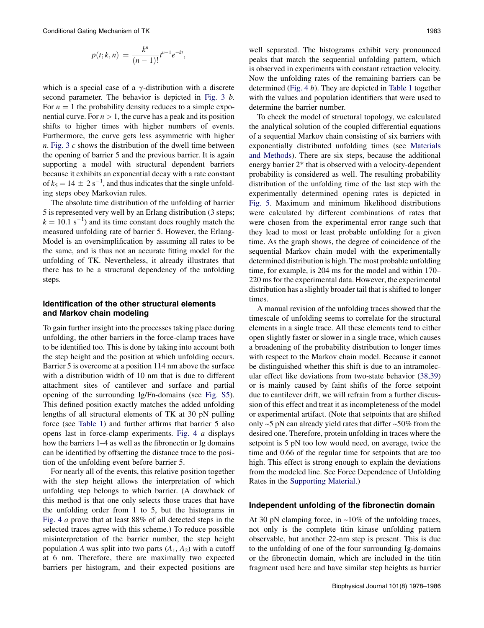$$
p(t;k,n) = \frac{k^n}{(n-1)!}t^{n-1}e^{-kt},
$$

which is a special case of a  $\gamma$ -distribution with a discrete second parameter. The behavior is depicted in [Fig. 3](#page-4-0) b. For  $n = 1$  the probability density reduces to a simple exponential curve. For  $n > 1$ , the curve has a peak and its position shifts to higher times with higher numbers of events. Furthermore, the curve gets less asymmetric with higher  $n.$  [Fig. 3](#page-4-0)  $c$  shows the distribution of the dwell time between the opening of barrier 5 and the previous barrier. It is again supporting a model with structural dependent barriers because it exhibits an exponential decay with a rate constant of  $k_5 = 14 \pm 2 \text{ s}^{-1}$ , and thus indicates that the single unfolding steps obey Markovian rules.

The absolute time distribution of the unfolding of barrier 5 is represented very well by an Erlang distribution (3 steps;  $k = 10.1 \text{ s}^{-1}$ ) and its time constant does roughly match the measured unfolding rate of barrier 5. However, the Erlang-Model is an oversimplification by assuming all rates to be the same, and is thus not an accurate fitting model for the unfolding of TK. Nevertheless, it already illustrates that there has to be a structural dependency of the unfolding steps.

### Identification of the other structural elements and Markov chain modeling

To gain further insight into the processes taking place during unfolding, the other barriers in the force-clamp traces have to be identified too. This is done by taking into account both the step height and the position at which unfolding occurs. Barrier 5 is overcome at a position 114 nm above the surface with a distribution width of 10 nm that is due to different attachment sites of cantilever and surface and partial opening of the surrounding Ig/Fn-domains (see [Fig. S5\)](#page-7-0). This defined position exactly matches the added unfolding lengths of all structural elements of TK at 30 pN pulling force (see [Table 1\)](#page-2-0) and further affirms that barrier 5 also opens last in force-clamp experiments. [Fig. 4](#page-6-0) a displays how the barriers 1–4 as well as the fibronectin or Ig domains can be identified by offsetting the distance trace to the position of the unfolding event before barrier 5.

For nearly all of the events, this relative position together with the step height allows the interpretation of which unfolding step belongs to which barrier. (A drawback of this method is that one only selects those traces that have the unfolding order from 1 to 5, but the histograms in [Fig. 4](#page-6-0) a prove that at least 88% of all detected steps in the selected traces agree with this scheme.) To reduce possible misinterpretation of the barrier number, the step height population A was split into two parts  $(A_1, A_2)$  with a cutoff at 6 nm. Therefore, there are maximally two expected barriers per histogram, and their expected positions are well separated. The histograms exhibit very pronounced peaks that match the sequential unfolding pattern, which is observed in experiments with constant retraction velocity. Now the unfolding rates of the remaining barriers can be determined [\(Fig. 4](#page-6-0) b). They are depicted in [Table 1](#page-2-0) together with the values and population identifiers that were used to determine the barrier number.

To check the model of structural topology, we calculated the analytical solution of the coupled differential equations of a sequential Markov chain consisting of six barriers with exponentially distributed unfolding times (see [Materials](#page-1-0) [and Methods\)](#page-1-0). There are six steps, because the additional energy barrier 2\* that is observed with a velocity-dependent probability is considered as well. The resulting probability distribution of the unfolding time of the last step with the experimentally determined opening rates is depicted in [Fig. 5](#page-7-0). Maximum and minimum likelihood distributions were calculated by different combinations of rates that were chosen from the experimental error range such that they lead to most or least probable unfolding for a given time. As the graph shows, the degree of coincidence of the sequential Markov chain model with the experimentally determined distribution is high. The most probable unfolding time, for example, is 204 ms for the model and within 170– 220 ms for the experimental data. However, the experimental distribution has a slightly broader tail that is shifted to longer times.

A manual revision of the unfolding traces showed that the timescale of unfolding seems to correlate for the structural elements in a single trace. All these elements tend to either open slightly faster or slower in a single trace, which causes a broadening of the probability distribution to longer times with respect to the Markov chain model. Because it cannot be distinguished whether this shift is due to an intramolecular effect like deviations from two-state behavior ([38,39](#page-8-0)) or is mainly caused by faint shifts of the force setpoint due to cantilever drift, we will refrain from a further discussion of this effect and treat it as incompleteness of the model or experimental artifact. (Note that setpoints that are shifted only ~5 pN can already yield rates that differ ~50% from the desired one. Therefore, protein unfolding in traces where the setpoint is 5 pN too low would need, on average, twice the time and 0.66 of the regular time for setpoints that are too high. This effect is strong enough to explain the deviations from the modeled line. See Force Dependence of Unfolding Rates in the [Supporting Material](#page-7-0).)

## Independent unfolding of the fibronectin domain

At 30 pN clamping force, in ~10% of the unfolding traces, not only is the complete titin kinase unfolding pattern observable, but another 22-nm step is present. This is due to the unfolding of one of the four surrounding Ig-domains or the fibronectin domain, which are included in the titin fragment used here and have similar step heights as barrier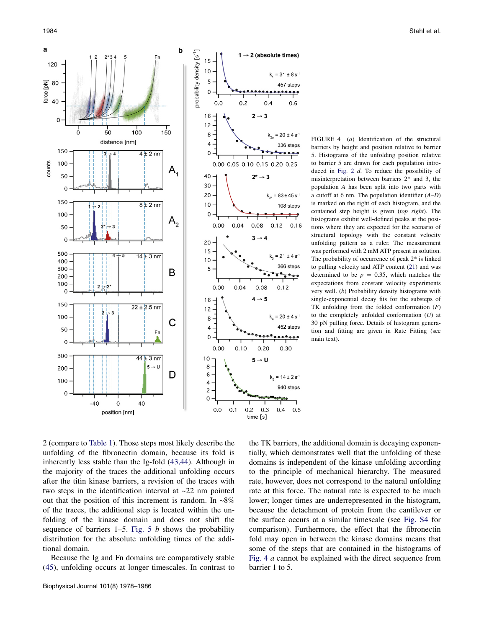<span id="page-6-0"></span>

FIGURE 4 (a) Identification of the structural barriers by height and position relative to barrier 5. Histograms of the unfolding position relative to barrier 5 are drawn for each population introduced in [Fig. 2](#page-3-0) d. To reduce the possibility of misinterpretation between barriers 2\* and 3, the population A has been split into two parts with a cutoff at 6 nm. The population identifier  $(A-D)$ is marked on the right of each histogram, and the contained step height is given (top right). The histograms exhibit well-defined peaks at the positions where they are expected for the scenario of structural topology with the constant velocity unfolding pattern as a ruler. The measurement was performed with 2 mM ATP present in solution. The probability of occurrence of peak 2\* is linked to pulling velocity and ATP content ([21\)](#page-8-0) and was determined to be  $p = 0.35$ , which matches the expectations from constant velocity experiments very well. (b) Probability density histograms with single-exponential decay fits for the substeps of TK unfolding from the folded conformation  $(F)$ to the completely unfolded conformation  $(U)$  at 30 pN pulling force. Details of histogram generation and fitting are given in Rate Fitting (see main text).

 $0.6$ 

 $\bullet \bullet \bullet$ 

 $0.5$ 

2 (compare to [Table 1](#page-2-0)). Those steps most likely describe the unfolding of the fibronectin domain, because its fold is inherently less stable than the Ig-fold [\(43,44\)](#page-8-0). Although in the majority of the traces the additional unfolding occurs after the titin kinase barriers, a revision of the traces with two steps in the identification interval at ~22 nm pointed out that the position of this increment is random. In  $\sim 8\%$ of the traces, the additional step is located within the unfolding of the kinase domain and does not shift the sequence of barriers  $1-5$ . [Fig. 5](#page-7-0) b shows the probability distribution for the absolute unfolding times of the additional domain.

Because the Ig and Fn domains are comparatively stable ([45\)](#page-8-0), unfolding occurs at longer timescales. In contrast to the TK barriers, the additional domain is decaying exponentially, which demonstrates well that the unfolding of these domains is independent of the kinase unfolding according to the principle of mechanical hierarchy. The measured rate, however, does not correspond to the natural unfolding rate at this force. The natural rate is expected to be much lower; longer times are underrepresented in the histogram, because the detachment of protein from the cantilever or the surface occurs at a similar timescale (see [Fig. S4](#page-7-0) for comparison). Furthermore, the effect that the fibronectin fold may open in between the kinase domains means that some of the steps that are contained in the histograms of Fig. 4 a cannot be explained with the direct sequence from barrier 1 to 5.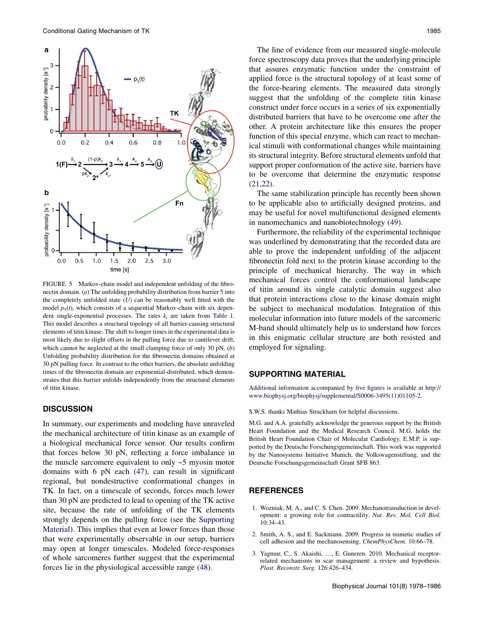<span id="page-7-0"></span>

FIGURE 5 Markov-chain model and independent unfolding of the fibronectin domain. (a) The unfolding probability distribution from barrier 5 into the completely unfolded state  $(U)$  can be reasonably well fitted with the model  $p_5(t)$ , which consists of a sequential Markov-chain with six dependent single-exponential processes. The rates  $k_i$  are taken from [Table 1.](#page-2-0) This model describes a structural topology of all barrier-causing structural elements of titin kinase. The shift to longer times in the experimental data is most likely due to slight offsets in the pulling force due to cantilever drift, which cannot be neglected at the small clamping force of only 30 pN. (b) Unfolding probability distribution for the fibronectin domains obtained at 30 pN pulling force. In contrast to the other barriers, the absolute unfolding times of the fibronectin domain are exponential-distributed, which demonstrates that this barrier unfolds independently from the structural elements of titin kinase.

#### **DISCUSSION**

In summary, our experiments and modeling have unraveled the mechanical architecture of titin kinase as an example of a biological mechanical force sensor. Our results confirm that forces below 30 pN, reflecting a force imbalance in the muscle sarcomere equivalent to only  $\sim$  5 myosin motor domains with 6 pN each [\(47](#page-8-0)), can result in significant regional, but nondestructive conformational changes in TK. In fact, on a timescale of seconds, forces much lower than 30 pN are predicted to lead to opening of the TK active site, because the rate of unfolding of the TK elements strongly depends on the pulling force (see the Supporting Material). This implies that even at lower forces than those that were experimentally observable in our setup, barriers may open at longer timescales. Modeled force-responses of whole sarcomeres further suggest that the experimental forces lie in the physiological accessible range [\(48](#page-8-0)).

The line of evidence from our measured single-molecule force spectroscopy data proves that the underlying principle that assures enzymatic function under the constraint of applied force is the structural topology of at least some of the force-bearing elements. The measured data strongly suggest that the unfolding of the complete titin kinase construct under force occurs in a series of six exponentially distributed barriers that have to be overcome one after the other. A protein architecture like this ensures the proper function of this special enzyme, which can react to mechanical stimuli with conformational changes while maintaining its structural integrity. Before structural elements unfold that support proper conformation of the active site, barriers have to be overcome that determine the enzymatic response ([21,22](#page-8-0)).

The same stabilization principle has recently been shown to be applicable also to artificially designed proteins, and may be useful for novel multifunctional designed elements in nanomechanics and nanobiotechnology [\(49](#page-8-0)).

Furthermore, the reliability of the experimental technique was underlined by demonstrating that the recorded data are able to prove the independent unfolding of the adjacent fibronectin fold next to the protein kinase according to the principle of mechanical hierarchy. The way in which mechanical forces control the conformational landscape of titin around its single catalytic domain suggest also that protein interactions close to the kinase domain might be subject to mechanical modulation. Integration of this molecular information into future models of the sarcomeric M-band should ultimately help us to understand how forces in this enigmatic cellular structure are both resisted and employed for signaling.

#### SUPPORTING MATERIAL

Additional information accompanied by five figures is available at [http://](http://www.biophysj.org/biophysj/supplemental/S0006-3495(11)01105-2) [www.biophysj.org/biophysj/supplemental/S0006-3495\(11\)01105-2](http://www.biophysj.org/biophysj/supplemental/S0006-3495(11)01105-2).

S.W.S. thanks Mathias Strackharn for helpful discussions.

M.G. and A.A. gratefully acknowledge the generous support by the British Heart Foundation and the Medical Research Council. M.G. holds the British Heart Foundation Chair of Molecular Cardiology. E.M.P. is supported by the Deutsche Forschungsgemeinschaft. This work was supported by the Nanosystems Initiative Munich, the Volkswagenstiftung, and the Deutsche Forschungsgemeinschaft Grant SFB 863.

# **REFERENCES**

- 1. Wozniak, M. A., and C. S. Chen. 2009. Mechanotransduction in development: a growing role for contractility. Nat. Rev. Mol. Cell Biol. 10:34–43.
- 2. Smith, A. S., and E. Sackmann. 2009. Progress in mimetic studies of cell adhesion and the mechanosensing. ChemPhysChem. 10:66–78.
- 3. Yagmur, C., S. Akaishi, ..., E. Guneren. 2010. Mechanical receptorrelated mechanisms in scar management: a review and hypothesis. Plast. Reconstr. Surg. 126:426–434.